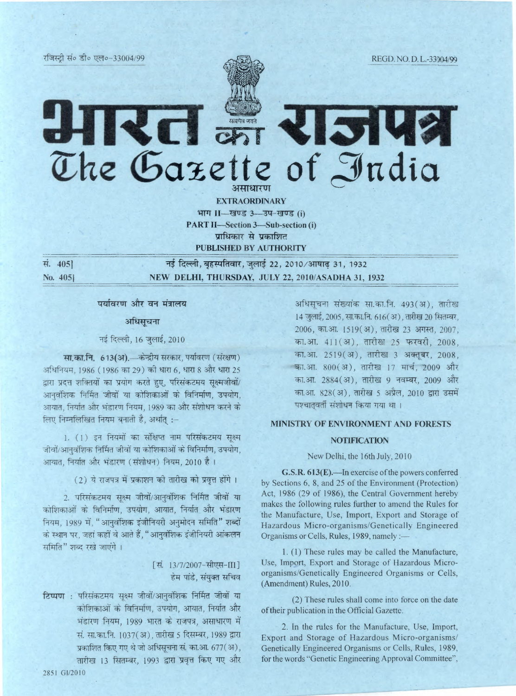REGD. NO. D. L.-33904/99

Rd a Klalya The Gazette of India असाधारण

> **EXTRAORDINARY** भाग II-खण्ड 3-उप-खण्ड (i) **PART II-Section 3-Sub-section (i)** प्राधिकार से प्रकाशित PUBLISHED BY AUTHORITY

सं. 405] No. 405]

नई दिल्ली, बृहस्पतिवार, जुलाई 22, 2010/आषाढ 31, 1932 NEW DELHI, THURSDAY, JULY 22, 2010/ASADHA 31, 1932

## पर्यावरण और वन मंत्रालय

#### अधिसूचना

## नई दिल्ली, 16 जुलाई, 2010

सा.का.नि. 613(अ). केन्द्रीय सरकार, पर्यावरण (संरक्षण) अधिनियम, 1986 (1986 का 29) की धारा 6, धारा 8 और धारा 25 द्वारा प्रदत्त शक्तियों का प्रयोग करते हुए, परिसंकटमय सूक्ष्मजीवों/ आनवंशिक निर्मित जीवों या कोशिकाओं के विनिर्माण, उपयोग, आयात, निर्यात और भंडारण नियम, 1989 का और संशोधन करने के लिए निम्नलिखित नियम बनाती है, अर्थात् :-

1. (1) इन नियमों का संक्षिप्त नाम परिसंकटमय सक्ष्म जीवों/आनवंशिक निर्मित जीवों या कोशिकाओं के विनिर्माण, उपयोग, आयात, निर्यात और भंडारण (संशोधन) नियम, 2010 है।

(2) ये राजपत्र में प्रकाशन की तारीख को प्रवृत्त होंगे।

2. परिसंकटमय सूक्ष्म जीवों/आनुवंशिक निर्मित जीवों या कोशिकाओं के विनिर्माण, उपयोग, आयात, निर्यात और भंडारण नियम, 1989 में, "आनवंशिक इंजीनियरी अनुमोदन समिति" शब्दों के स्थान पर, जहां कहीं वे आते हैं, "आनुवंशिक इंजीनियरी आंकलन समिति" शब्द रखे जाएंगे ।

# [सं. 13/7/2007-सीएस-III] हेम पांडे, संयुक्त सचिव

टिप्पण : परिसंकटमय सक्ष्म जीवों/आनवंशिक निर्मित जीवों या कोशिकाओं के विनिर्माण, उपयोग, आयात, निर्यात और भंडारण नियम, 1989 भारत के राजपत्र, असाधारण में सं. सा.का.नि. 1037(अ), तारीख 5 दिसम्बर, 1989 द्वारा प्रकाशित किए गए थे जो अधिसूचना सं. का.आ. 677 (अ), तारीख 13 सितम्बर, 1993 द्वारा प्रवृत्त किए गए और

अधिसूचना संख्यांक सा.का.नि. 493(अ), तारीख 14 जुलाई, 2005, सा.का.नि. 616(अ), तारीख 20 सितम्बर, 2006, का.आ. 1519(अ), तारीख 23 अगस्त, 2007, का.आ. 411 (अ), तारीख 25 फरवरी, 2008, का.आ. 2519 (अ), तारीख 3 अक्तूबर, 2008, का.आ. 800(अ), तारीख 17 मार्च, 2009 और का.आ. 2884(अ), तारीख 9 नवम्बर, 2009 और का.आ. 828(अ), तारीख 5 अप्रैल, 2010 द्वारा उसमें पश्चातवर्ती संशोधन किया गया था।

## MINISTRY OF ENVIRONMENT AND FORESTS

## **NOTIFICATION**

## New Delhi, the 16th July, 2010

G.S.R. 613(E).—In exercise of the powers conferred by Sections 6, 8, and 25 of the Environment (Protection) Act, 1986 (29 of 1986), the Central Government hereby makes the following rules further to amend the Rules for the Manufacture, Use, Import, Export and Storage of Hazardous Micro-organisms/Genetically Engineered Organisms or Cells, Rules, 1989, namely :-

1. (1) These rules may be called the Manufacture, Use, Import, Export and Storage of Hazardous Microorganisms/Genetically Engineered Organisms or Cells, (Amendment) Rules, 2010.

(2) These rules shall come into force on the date of their publication in the Official Gazette.

2. In the rules for the Manufacture, Use, Import, Export and Storage of Hazardous Micro-organisms/ Genetically Engineered Organisms or Cells, Rules, 1989, for the words "Genetic Engineering Approval Committee",